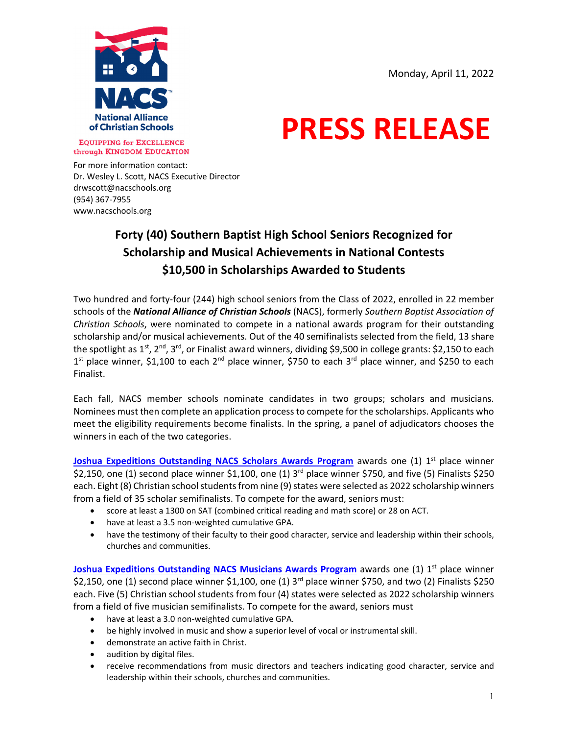

# **PRESS RELEASE**

**EQUIPPING for EXCELLENCE** through KINGDOM EDUCATION

For more information contact: Dr. Wesley L. Scott, NACS Executive Director drwscott@nacschools.org (954) 367‐7955 www.nacschools.org

# **Forty (40) Southern Baptist High School Seniors Recognized for Scholarship and Musical Achievements in National Contests \$10,500 in Scholarships Awarded to Students**

Two hundred and forty‐four (244) high school seniors from the Class of 2022, enrolled in 22 member schools of the *National Alliance of Christian Schools* (NACS), formerly *Southern Baptist Association of Christian Schools*, were nominated to compete in a national awards program for their outstanding scholarship and/or musical achievements. Out of the 40 semifinalists selected from the field, 13 share the spotlight as 1<sup>st</sup>, 2<sup>nd</sup>, 3<sup>rd</sup>, or Finalist award winners, dividing \$9,500 in college grants: \$2,150 to each  $1<sup>st</sup>$  place winner, \$1,100 to each  $2<sup>nd</sup>$  place winner, \$750 to each  $3<sup>rd</sup>$  place winner, and \$250 to each Finalist.

Each fall, NACS member schools nominate candidates in two groups; scholars and musicians. Nominees must then complete an application processto compete for the scholarships. Applicants who meet the eligibility requirements become finalists. In the spring, a panel of adjudicators chooses the winners in each of the two categories.

**Joshua Expeditions Outstanding NACS Scholars Awards Program awards one (1) 1<sup>st</sup> place winner** \$2,150, one (1) second place winner \$1,100, one (1)  $3<sup>rd</sup>$  place winner \$750, and five (5) Finalists \$250 each. Eight (8) Christian school students from nine (9) states were selected as 2022 scholarship winners from a field of 35 scholar semifinalists. To compete for the award, seniors must:

- score at least a 1300 on SAT (combined critical reading and math score) or 28 on ACT.
- have at least a 3.5 non‐weighted cumulative GPA.
- have the testimony of their faculty to their good character, service and leadership within their schools, churches and communities.

**Joshua Expeditions Outstanding NACS Musicians Awards Program awards one (1) 1<sup>st</sup> place winner** \$2,150, one (1) second place winner \$1,100, one (1)  $3<sup>rd</sup>$  place winner \$750, and two (2) Finalists \$250 each. Five (5) Christian school students from four (4) states were selected as 2022 scholarship winners from a field of five musician semifinalists. To compete for the award, seniors must

- have at least a 3.0 non‐weighted cumulative GPA.
- be highly involved in music and show a superior level of vocal or instrumental skill.
- demonstrate an active faith in Christ.
- audition by digital files.
- receive recommendations from music directors and teachers indicating good character, service and leadership within their schools, churches and communities.